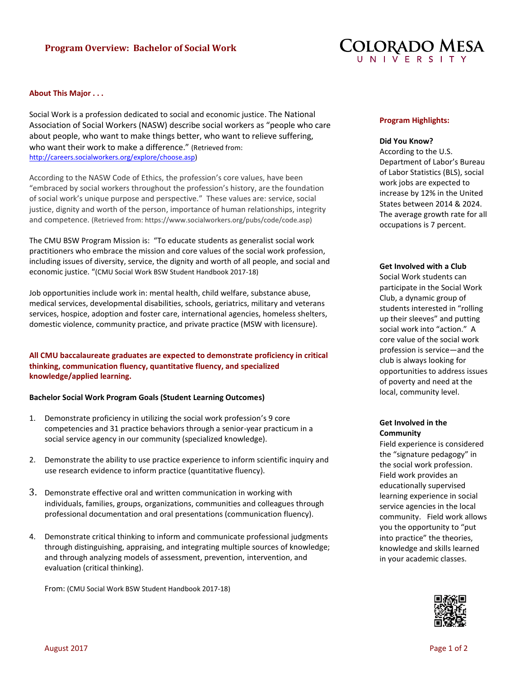

#### **About This Major . . .**

Social Work is a profession dedicated to social and economic justice. The National Association of Social Workers (NASW) describe social workers as "people who care about people, who want to make things better, who want to relieve suffering, who want their work to make a difference." (Retrieved from: [http://careers.socialworkers.org/explore/choose.asp\)](http://careers.socialworkers.org/explore/choose.asp)

According to the NASW Code of Ethics, the profession's core values, have been "embraced by social workers throughout the profession's history, are the foundation of social work's unique purpose and perspective." These values are: service, social justice, dignity and worth of the person, importance of human relationships, integrity and competence. (Retrieved from: https://www.socialworkers.org/pubs/code/code.asp)

The CMU BSW Program Mission is: "To educate students as generalist social work practitioners who embrace the mission and core values of the social work profession, including issues of diversity, service, the dignity and worth of all people, and social and economic justice. "(CMU Social Work BSW Student Handbook 2017-18)

Job opportunities include work in: mental health, child welfare, substance abuse, medical services, developmental disabilities, schools, geriatrics, military and veterans services, hospice, adoption and foster care, international agencies, homeless shelters, domestic violence, community practice, and private practice (MSW with licensure).

**All CMU baccalaureate graduates are expected to demonstrate proficiency in critical thinking, communication fluency, quantitative fluency, and specialized knowledge/applied learning.** 

#### **Bachelor Social Work Program Goals (Student Learning Outcomes)**

- 1. Demonstrate proficiency in utilizing the social work profession's 9 core competencies and 31 practice behaviors through a senior-year practicum in a social service agency in our community (specialized knowledge).
- 2. Demonstrate the ability to use practice experience to inform scientific inquiry and use research evidence to inform practice (quantitative fluency).
- 3. Demonstrate effective oral and written communication in working with individuals, families, groups, organizations, communities and colleagues through professional documentation and oral presentations (communication fluency).
- 4. Demonstrate critical thinking to inform and communicate professional judgments through distinguishing, appraising, and integrating multiple sources of knowledge; and through analyzing models of assessment, prevention, intervention, and evaluation (critical thinking).

From: (CMU Social Work BSW Student Handbook 2017-18)

#### **Program Highlights:**

### **Did You Know?**

According to the U.S. Department of Labor's Bureau of Labor Statistics (BLS), social work jobs are expected to increase by 12% in the United States between 2014 & 2024. The average growth rate for all occupations is 7 percent.

#### **Get Involved with a Club**

Social Work students can participate in the Social Work Club, a dynamic group of students interested in "rolling up their sleeves" and putting social work into "action." A core value of the social work profession is service—and the club is always looking for opportunities to address issues of poverty and need at the local, community level.

# **Get Involved in the Community**

Field experience is considered the "signature pedagogy" in the social work profession. Field work provides an educationally supervised learning experience in social service agencies in the local community. Field work allows you the opportunity to "put into practice" the theories, knowledge and skills learned in your academic classes.